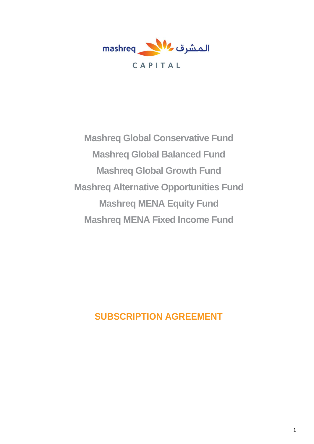

**Mashreq Global Conservative Fund Mashreq Global Balanced Fund Mashreq Global Growth Fund Mashreq Alternative Opportunities Fund Mashreq MENA Equity Fund Mashreq MENA Fixed Income Fund**

**SUBSCRIPTION AGREEMENT**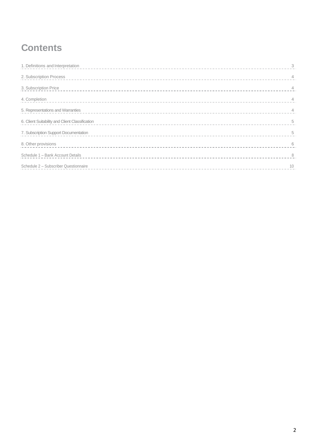# **Contents**

| 1. Definitions and Interpretation               | 3   |
|-------------------------------------------------|-----|
| 2. Subscription Process                         |     |
| 3. Subscription Price                           |     |
| 4. Completion                                   |     |
| 5. Representations and Warranties               | 4   |
| 6. Client Suitability and Client Classification | 5   |
| 7. Subscription Support Documentation           | 5   |
| 8. Other provisions                             | 6   |
| Schedule 1 - Bank Account Details               | - 8 |
| Schedule 2 - Subscriber Questionnaire           | 10  |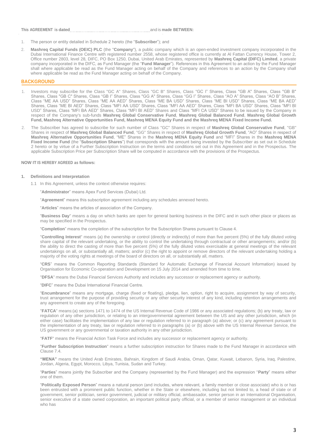#### **This AGREEMENT is dated** and is **made BETWEEN:**

- 1. The person or entity detailed in Schedule 2 hereto (the "**Subscriber**"); and
- 2. **Mashreq Capital Funds (OEIC) PLC** (the "**Company**"), a public company which is an open-ended investment company incorporated in the Dubai International Finance Centre with registered number 2558, whose registered office is currently at Al Fattan Currency House, Tower 2, Office number 2803, level 28, DIFC, PO Box 1250, Dubai, United Arab Emirates, represented by **Mashreq Capital (DIFC) Limited**, a private company incorporated in the DIFC, as Fund Manager (the "**Fund Manager**"). References in this Agreement to an action by the Fund Manager shall where applicable be read as the Fund Manager acting on behalf of the Company and references to an action by the Company shall where applicable be read as the Fund Manager acting on behalf of the Company.

#### **BACKGROUND**

- Investors may subscribe for the Class "GC A" Shares, Class "GC B" Shares, Class "GC I" Shares, Class "GB A" Shares, Class "GB B" Shares, Class "GB C" Shares, Class "GB I" Shares, Class "GG A" Shares, Class "GG I" Shares, Class "AO A" Shares, Class "AO B" Shares, Class "ME AA USD" Shares, Class "ME AA AED" Shares, Class "ME BA USD" Shares, Class "ME BI USD" Shares, Class "ME BA AED" Shares, Class "ME BI AED" Shares, Class "MFI AA USD" Shares, Class "MFI AA AED" Shares, Class "MFI BA USD" Shares, Class "MFI BI USD" Shares, Class "MFI BA AED" Shares, Class "MFI BI AED" Shares and Class "MFI CA USD" Shares to be issued by the Company in respect of the Company's sub-funds **Mashreq Global Conservative Fund**, **Mashreq Global Balanced Fund**, **Mashreq Global Growth Fund, Mashreq Alternative Opportunities Fund, Mashreq MENA Equity Fund and the Mashreq MENA Fixed Income Fund.**
- 2. The Subscriber has agreed to subscribe for such number of Class "GC" Shares in respect of **Mashreq Global Conservative Fund**, "GB" Shares in respect of **Mashreq Global Balanced Fund**, "GG" Shares in respect of **Mashreq Global Growth Fund**, "AO" Shares in respect of **Mashreq Alternative Opportunities Fund**, "ME" Shares in the **Mashreq MENA Equity Fund** and "MFI" Shares in the **Mashreq MENA Fixed Income Fund** (the "**Subscription Shares**") that corresponds with the amount being invested by the Subscriber as set out in Schedule 2 hereto or by virtue of a Further Subscription Instruction on the terms and conditions set out in this Agreement and in the Prospectus. The applicable Subscription Price per Subscription Share will be computed in accordance with the provisions of the Prospectus.

#### **NOW IT IS HEREBY AGREED as follows:**

#### **1. Definitions and Interpretation**

1.1 In this Agreement, unless the context otherwise requires:

"**Administrator**" means Apex Fund Services (Dubai) Ltd.

"**Agreement**" means this subscription agreement including any schedules annexed hereto.

"**Articles**" means the articles of association of the Company.

"**Business Day**" means a day on which banks are open for general banking business in the DIFC and in such other place or places as may be specified in the Prospectus.

"**Completion**" means the completion of the subscription for the Subscription Shares pursuant to Clause 4.

"**Controlling Interest**" means (a) the ownership or control (directly or indirectly) of more than five percent (5%) of the fully diluted voting share capital of the relevant undertaking, or the ability to control the undertaking through contractual or other arrangements; and/or (b) the ability to direct the casting of more than five percent (5%) of the fully diluted votes exercisable at general meetings of the relevant undertakings on all, or substantially all, matters; and/or (c) the right to appoint or remove directors of the relevant undertaking holding a majority of the voting rights at meetings of the board of directors on all, or substantially all, matters.

"**CRS**" means the Common Reporting Standards (Standard for Automatic Exchange of Financial Account Information) issued by Organisation for Economic Co-operation and Development on 15 July 2014 and amended from time to time.

"**DFSA**" means the Dubai Financial Services Authority and includes any successor or replacement agency or authority.

"**DIFC**" means the Dubai International Financial Centre.

"**Encumbrance**" means any mortgage, charge (fixed or floating), pledge, lien, option, right to acquire, assignment by way of security, trust arrangement for the purpose of providing security or any other security interest of any kind, including retention arrangements and any agreement to create any of the foregoing.

"**FATCA**" means:(a) sections 1471 to 1474 of the US Internal Revenue Code of 1986 or any associated regulations; (b) any treaty, law or regulation of any other jurisdiction, or relating to an intergovernmental agreement between the US and any other jurisdiction, which (in either case) facilitates the implementation of any law or regulation referred to in paragraph (a) above; or (c) any agreement pursuant to the implementation of any treaty, law or regulation referred to in paragraphs (a) or (b) above with the US Internal Revenue Service, the US government or any governmental or taxation authority in any other jurisdiction.

"**FATF**" means the Financial Action Task Force and includes any successor or replacement agency or authority.

"**Further Subscription Instruction**" means a further subscription instruction for Shares made to the Fund Manager in accordance with Clause 7.4.

**"MENA"** means the United Arab Emirates, Bahrain, Kingdom of Saudi Arabia, Oman, Qatar, Kuwait, Lebanon, Syria, Iraq, Palestine, Jordan, Algeria, Egypt, Morocco, Libya, Tunisia, Sudan and Turkey.

"**Parties**" means jointly the Subscriber and the Company (represented by the Fund Manager) and the expression "**Party**" means either one of them.

"**Politically Exposed Person**" means a natural person (and includes, where relevant, a family member or close associate) who is or has been entrusted with a prominent public function, whether in the State or elsewhere, including but not limited to, a head of state or of government, senior politician, senior government, judicial or military official, ambassador, senior person in an International Organisation, senior executive of a state owned corporation, an important political party official, or a member of senior management or an individual who has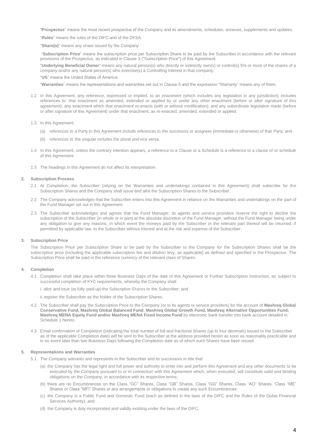"**Prospectus**" means the most recent prospectus of the Company and its amendments, schedules, annexes, supplements and updates.

"**Rules**" means the rules of the DIFC and of the DFSA.

"**Share(s)**" means any share issued by the Company.

"**Subscription Price**" means the subscription price per Subscription Share to be paid by the Subscriber in accordance with the relevant provisions of the Prospectus, as indicated in Clause [3](#page-3-0) (["Subscription Price"](#page-3-0)) of this Agreement.

"**Underlying Beneficial Owner**" means any natural person(s) who directly or indirectly own(s) or control(s) 5% or more of the shares of a company and/or any natural person(s) who exercise(s) a Controlling Interest in that company.

"**US**" means the United States of America.

"**Warranties**" means the representations and warranties set out in Clause 5 and the expression "Warranty" means any of them.

- 1.2 In this Agreement, any reference, expressed or implied, to an enactment (which includes any legislation in any jurisdiction) includes references to: that enactment as amended, extended or applied by or under any other enactment (before or after signature of this agreement); any enactment which that enactment re-enacts (with or without modification); and any subordinate legislation made (before or after signature of this Agreement) under that enactment, as re-enacted, amended, extended or applied.
- 1.3 In this Agreement:
	- (a) references to a Party to this Agreement include references to the successors or assignees (immediate or otherwise) of that Party; and
	- (b) references to the singular includes the plural and vice versa.
- 1.4 In this Agreement, unless the contrary intention appears, a reference to a Clause or a Schedule is a reference to a clause of or schedule of this Agreement.
- 1.5 The headings in this Agreement do not affect its interpretation.

#### **2. Subscription Process**

- 2.1 At Completion, the Subscriber (relying on the Warranties and undertakings contained in this Agreement) shall subscribe for the Subscription Shares and the Company shall issue and allot the Subscription Shares to the Subscriber.
- 2.2 The Company acknowledges that the Subscriber enters into this Agreement in reliance on the Warranties and undertakings on the part of the Fund Manager set out in this Agreement.
- 2.3 The Subscriber acknowledges and agrees that the Fund Manager, its agents and service providers reserve the right to decline the subscription of the Subscriber (in whole or in part) at the absolute discretion of the Fund Manager, without the Fund Manager being under any obligation to give any reasons, in which event the moneys paid by the Subscriber or the relevant part thereof will be returned, if permitted by applicable law, to the Subscriber without interest and at the risk and expense of the Subscriber.

#### <span id="page-3-0"></span>**3. Subscription Price**

The Subscription Price per Subscription Share to be paid by the Subscriber to the Company for the Subscription Shares shall be the subscription price (including the applicable subscription fee and dilution levy, as applicable) as defined and specified in the Prospectus. The Subscription Price shall be paid in the reference currency of the relevant class of Shares.

#### **4. Completion**

- 4.1 Completion shall take place within three Business Days of the date of this Agreement or Further Subscription Instruction, as subject to successful completion of KYC requirements, whereby the Company shall:
	- i. allot and issue (as fully paid up) the Subscription Shares to the Subscriber; and

ii.register the Subscriber as the holder of the Subscription Shares.

- 4.2 The Subscriber shall pay the Subscription Price to the Company (or to its agents or service providers) for the account of **Mashreq Global Conservative Fund, Mashreq Global Balanced Fund**, **Mashreq Global Growth Fund, Mashreq Alternative Opportunities Fund, Mashreq MENA Equity Fund and/or Mashreq MENA Fixed Income Fund** by electronic bank transfer into bank account detailed in Schedule 1 hereto.
- 4.3 Email confirmation of Completion (indicating the total number of full and fractional Shares (up to four decimals) issued to the Subscriber as of the applicable Completion date) will be sent to the Subscriber at the address provided herein as soon as reasonably practicable and in no event later than two Business Days following the Completion date as of which such Shares have been issued.

#### **5. Representations and Warranties**

- 5.1 The Company warrants and represents to the Subscriber and its successors in title that:
	- (a) the Company has the legal right and full power and authority to enter into and perform this Agreement and any other documents to be executed by the Company pursuant to or in connection with this Agreement which, when executed, will constitute valid and binding obligations on the Company, in accordance with its respective terms;
	- (b) there are no Encumbrances on the Class "GC" Shares, Class "GB" Shares, Class "GG" Shares, Class "AO" Shares, Class "ME" Shares or Class "MFI" Shares or any arrangements or obligations to create any such Encumbrances;
	- (c) the Company is a Public Fund and Domestic Fund (each as defined in the laws of the DIFC and the Rules of the Dubai Financial Services Authority); and
	- (d) the Company is duly incorporated and validly existing under the laws of the DIFC.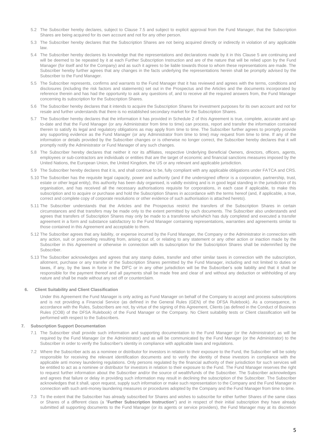- 5.2 The Subscriber hereby declares, subject to Clause 7.5 and subject to explicit approval from the Fund Manager, that the Subscription Shares are being acquired for its own account and not for any other person.
- 5.3 The Subscriber hereby declares that the Subscription Shares are not being acquired directly or indirectly in violation of any applicable law.
- 5.4 The Subscriber hereby declares its knowledge that the representations and declarations made by it in this Clause 5 are continuing and will be deemed to be repeated by it at each Further Subscription Instruction and are of the nature that will be relied upon by the Fund Manager (for itself and for the Company) and as such it agrees to be liable towards those to whom these representations are made. The Subscriber hereby further agrees that any changes in the facts underlying the representations herein shall be promptly advised by the Subscriber to the Fund Manager.
- 5.5 The Subscriber represents, confirms and warrants to the Fund Manager that it has reviewed and agrees with the terms, conditions and disclosures (including the risk factors and statements) set out in the Prospectus and the Articles and the documents incorporated by reference therein and has had the opportunity to ask any questions of, and to receive all the required answers from, the Fund Manager concerning its subscription for the Subscription Shares.
- 5.6 The Subscriber hereby declares that it intends to acquire the Subscription Shares for investment purposes for its own account and not for resale and further understands that there is no established secondary market for the Subscription Shares.
- 5.7 The Subscriber hereby declares that the information it has provided in Schedule 2 of this Agreement is true, complete, accurate and upto-date and that the Fund Manager (or any Administrator from time to time) can process, report and transfer the information contained therein to satisfy its legal and regulatory obligations as may apply from time to time. The Subscriber further agrees to promptly provide any supporting evidence as the Fund Manager (or any Administrator from time to time) may request from time to time. If any of the information or details provided by the Subscriber changes or is otherwise no longer correct, the Subscriber hereby declares that it will promptly notify the Administrator or Fund Manager of any such changes.
- 5.8 The Subscriber hereby declares that neither it nor its affiliates, respective Underlying Beneficial Owners, directors, officers, agents, employees or sub-contractors are individuals or entities that are the target of economic and financial sanctions measures imposed by the United Nations, the European Union, the United Kingdom, the US or any relevant and applicable jurisdiction.
- 5.9 The Subscriber hereby declares that it is, and shall continue to be, fully compliant with any applicable obligations under FATCA and CRS.
- 5.10 The Subscriber has the requisite legal capacity, power and authority (and if the undersigned offeror is a corporation, partnership, trust, estate or other legal entity), this authority has been duly organised, is validly existing and is in good legal standing in the jurisdiction of its organisation, and has received all the necessary authorisations requisite for corporations, in each case if applicable, to make this subscription and to acquire or purchase and hold the Subscription Shares in accordance with the terms hereof (and, if applicable, a true, correct and complete copy of corporate resolutions or other evidence of such authorisation is attached hereto).
- 5.11 The Subscriber understands that the Articles and the Prospectus restrict the transfers of the Subscription Shares in certain circumstances and that transfers may be made only to the extent permitted by such documents. The Subscriber also understands and agrees that transfers of Subscription Shares may only be made to a transferee who/which has duly completed and executed a transfer agreement in a form and substance satisfactory to the Fund Manager containing representations, warranties and agreements similar to those contained in this Agreement and acceptable to them.
- 5.12 The Subscriber agrees that any liability, or expense incurred by the Fund Manager, the Company or the Administrator in connection with any action, suit or proceeding resulting from, arising out of, or relating to any statement or any other action or inaction made by the Subscriber in this Agreement or otherwise in connection with its subscription for the Subscription Shares shall be indemnified by the Subscriber.
- 5.13 The Subscriber acknowledges and agrees that any stamp duties, transfer and other similar taxes in connection with the subscription, allotment, purchase or any transfer of the Subscription Shares permitted by the Fund Manager, including and not limited to duties or taxes, if any, by the laws in force in the DIFC or in any other jurisdiction will be the Subscriber's sole liability and that it shall be responsible for the payment thereof and all payments shall be made free and clear of and without any deduction or withholding of any nature and shall be made without any set off or counterclaim.

#### **6. Client Suitability and Client Classification**

Under this Agreement the Fund Manager is only acting as Fund Manager on behalf of the Company to accept and process subscriptions and is not providing a Financial Service (as defined in the General Rules (GEN) of the DFSA Rulebook). As a consequence, in accordance with the Rules, Subscribers are not, by virtue of the signing of this Agreement, Clients (as defined in the Conduct of Business Rules (COB) of the DFSA Rulebook) of the Fund Manager or the Company. No Client suitability tests or Client classification will be performed with respect to the Subscribers.

#### **7. Subscription Support Documentation**

- 7.1 The Subscriber shall provide such information and supporting documentation to the Fund Manager (or the Administrator) as will be required by the Fund Manager (or the Administrator) and as will be communicated by the Fund Manager (or the Administrator) to the Subscriber in order to verify the Subscriber's identity in compliance with applicable laws and regulations.
- 7.2 Where the Subscriber acts as a nominee or distributor for investors in relation to their exposure to the Fund, the Subscriber will be solely responsible for receiving the relevant identification documents and to verify the identity of these investors in compliance with the applicable anti money laundering regulations. Only persons regulated by the financial authority of their jurisdiction for such services will be entitled to act as a nominee or distributor for investors in relation to their exposure to the Fund. The Fund Manager reserves the right to request further information about the Subscriber and/or the source of wealth/funds of the Subscriber. The Subscriber acknowledges and agrees that failure or delay in providing such information may result in declining the subscription of the Subscriber. The Subscriber acknowledges that it shall, upon request, supply such information or make such representation to the Company and the Fund Manager in connection with such anti-money laundering measures or procedures adopted by the Company and the Fund Manager from time to time.
- 7.3 To the extent that the Subscriber has already subscribed for Shares and wishes to subscribe for either further Shares of the same class or Shares of a different class (a "**Further Subscription Instruction**") and in respect of their initial subscription they have already submitted all supporting documents to the Fund Manager (or its agents or service providers), the Fund Manager may at its discretion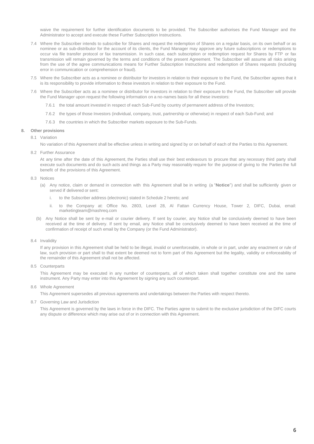waive the requirement for further identification documents to be provided. The Subscriber authorises the Fund Manager and the Administrator to accept and execute these Further Subscription Instructions.

- 7.4 Where the Subscriber intends to subscribe for Shares and request the redemption of Shares on a regular basis, on its own behalf or as nominee or as sub-distributor for the account of its clients, the Fund Manager may approve any future subscriptions or redemptions to occur via file transfer protocol or fax transmission. In such case, each subscription or redemption request for Shares by FTP or fax transmission will remain governed by the terms and conditions of the present Agreement. The Subscriber will assume all risks arising from the use of the agree communications means for Further Subscription Instructions and redemption of Shares requests (including error in communication or comprehension or fraud).
- 7.5 Where the Subscriber acts as a nominee or distributor for investors in relation to their exposure to the Fund, the Subscriber agrees that it is its responsibility to provide information to these investors in relation to their exposure to the Fund.
- 7.6 Where the Subscriber acts as a nominee or distributor for investors in relation to their exposure to the Fund, the Subscriber will provide the Fund Manager upon request the following information on a no-names basis for all these investors:
	- 7.6.1 the total amount invested in respect of each Sub-Fund by country of permanent address of the Investors;
	- 7.6.2 the types of those Investors (individual, company, trust, partnership or otherwise) in respect of each Sub-Fund; and
	- 7.6.3 the countries in which the Subscriber markets exposure to the Sub-Funds.

#### **8. Other provisions**

#### 8.1 Variation

No variation of this Agreement shall be effective unless in writing and signed by or on behalf of each of the Parties to this Agreement.

8.2 Further Assurance

At any time after the date of this Agreement, the Parties shall use their best endeavours to procure that any necessary third party shall execute such documents and do such acts and things as a Party may reasonably require for the purpose of giving to the Parties the full benefit of the provisions of this Agreement.

#### 8.3 Notices

- (a) Any notice, claim or demand in connection with this Agreement shall be in writing (a "**Notice**") and shall be sufficiently given or served if delivered or sent:
	- to the Subscriber address (electronic) stated in Schedule 2 hereto; and
	- ii. to the Company at: Office No. 2803, Level 28, Al Fattan Currency House, Tower 2, DIFC, Dubai, email: marketingteam@mashreq.com
- (b) Any Notice shall be sent by e-mail or courier delivery. If sent by courier, any Notice shall be conclusively deemed to have been received at the time of delivery. If sent by email, any Notice shall be conclusively deemed to have been received at the time of confirmation of receipt of such email by the Company (or the Fund Administrator).
- 8.4 Invalidity

If any provision in this Agreement shall be held to be illegal, invalid or unenforceable, in whole or in part, under any enactment or rule of law, such provision or part shall to that extent be deemed not to form part of this Agreement but the legality, validity or enforceability of the remainder of this Agreement shall not be affected.

8.5 Counterparts

This Agreement may be executed in any number of counterparts, all of which taken shall together constitute one and the same instrument. Any Party may enter into this Agreement by signing any such counterpart.

8.6 Whole Agreement

This Agreement supersedes all previous agreements and undertakings between the Parties with respect thereto.

8.7 Governing Law and Jurisdiction

This Agreement is governed by the laws in force in the DIFC. The Parties agree to submit to the exclusive jurisdiction of the DIFC courts any dispute or difference which may arise out of or in connection with this Agreement.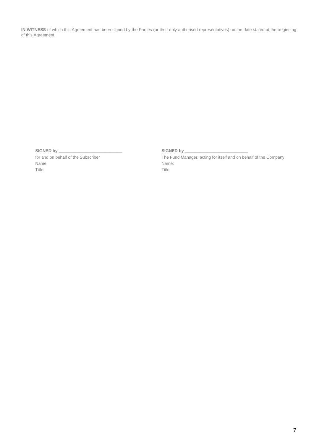**IN WITNESS** of which this Agreement has been signed by the Parties (or their duly authorised representatives) on the date stated at the beginning of this Agreement.

SIGNED by \_

for and on behalf of the Subscriber Name: Title:

SIGNED by \_

The Fund Manager, acting for itself and on behalf of the Company Name: Title: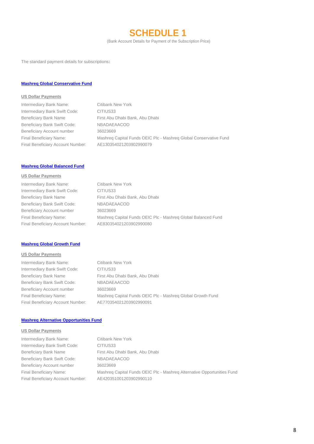**SCHEDULE 1**

(Bank Account Details for Payment of the Subscription Price)

The standard payment details for subscriptions**:**

## **Mashreq Global Conservative Fund**

### **US Dollar Payments**

| Intermediary Bank Name:           | Citibank New York                                                 |
|-----------------------------------|-------------------------------------------------------------------|
| Intermediary Bank Swift Code:     | CITIUS33                                                          |
| Beneficiary Bank Name             | First Abu Dhabi Bank, Abu Dhabi                                   |
| Beneficiary Bank Swift Code:      | <b>NBADAEAACOD</b>                                                |
| Beneficiary Account number        | 36023669                                                          |
| Final Beneficiary Name:           | Mashreg Capital Funds OEIC Plc - Mashreg Global Conservative Fund |
| Final Beneficiary Account Number: | AE130354021203902990079                                           |
|                                   |                                                                   |

## **Mashreq Global Balanced Fund**

#### **US Dollar Payments**

| Intermediary Bank Name:           | <b>Citibank New York</b>                                      |
|-----------------------------------|---------------------------------------------------------------|
| Intermediary Bank Swift Code:     | CITIUS33                                                      |
| <b>Beneficiary Bank Name</b>      | First Abu Dhabi Bank, Abu Dhabi                               |
| Beneficiary Bank Swift Code:      | <b>NBADAEAACOD</b>                                            |
| Beneficiary Account number        | 36023669                                                      |
| Final Beneficiary Name:           | Mashreg Capital Funds OEIC Plc - Mashreg Global Balanced Fund |
| Final Beneficiary Account Number: | AE830354021203902990080                                       |
|                                   |                                                               |

#### **Mashreq Global Growth Fund**

## **US Dollar Payments**

Intermediary Bank Name: Citibank New York Intermediary Bank Swift Code: CITIUS33 Beneficiary Bank Name First Abu Dhabi Bank, Abu Dhabi Beneficiary Bank Swift Code: NBADAEAACOD Beneficiary Account number 36023669 Final Beneficiary Account Number: AE770354021203902990091

Final Beneficiary Name: Mashreq Capital Funds OEIC Plc - Mashreq Global Growth Fund

## **Mashreq Alternative Opportunities Fund**

#### **US Dollar Payments**

Intermediary Bank Name: Citibank New York Intermediary Bank Swift Code: CITIUS33 Beneficiary Bank Swift Code: NBADAEAACOD Beneficiary Account number 36023669 Final Beneficiary Account Number: AE420351001203902990110

Beneficiary Bank Name First Abu Dhabi Bank, Abu Dhabi Final Beneficiary Name: Mashreq Capital Funds OEIC Plc - Mashreq Alternative Opportunities Fund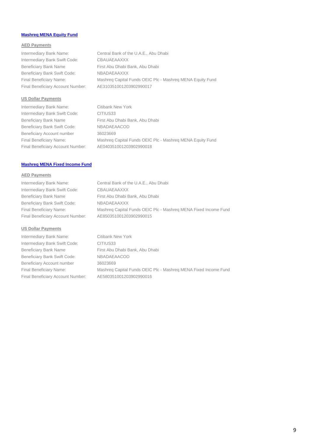## **Mashreq MENA Equity Fund**

## **AED Payments**

Intermediary Bank Name: Central Bank of the U.A.E., Abu Dhabi Intermediary Bank Swift Code: CBAUAEAAXXX Beneficiary Bank Name First Abu Dhabi Bank, Abu Dhabi Beneficiary Bank Swift Code: NBADAEAAXXX Final Beneficiary Name: Mashreq Capital Funds OEIC Plc - Mashreq MENA Equity Fund Final Beneficiary Account Number: AE310351001203902990017

#### **US Dollar Payments**

Intermediary Bank Name: Citibank New York Intermediary Bank Swift Code: CITIUS33 Beneficiary Bank Name First Abu Dhabi Bank, Abu Dhabi Beneficiary Bank Swift Code: NBADAEAACOD Beneficiary Account number 36023669 Final Beneficiary Name: Mashreq Capital Funds OEIC Plc - Mashreq MENA Equity Fund Final Beneficiary Account Number: AE040351001203902990018

## **Mashreq MENA Fixed Income Fund**

#### **AED Payments**

Intermediary Bank Name: Central Bank of the U.A.E., Abu Dhabi Intermediary Bank Swift Code: CBAUAEAAXXX Beneficiary Bank Name First Abu Dhabi Bank, Abu Dhabi Beneficiary Bank Swift Code: NBADAEAAXXX Final Beneficiary Name: Mashreq Capital Funds OEIC Plc - Mashreq MENA Fixed Income Fund Final Beneficiary Account Number: AE850351001203902990015

#### **US Dollar Payments**

Intermediary Bank Name: Citibank New York Intermediary Bank Swift Code: CITIUS33 Beneficiary Bank Name First Abu Dhabi Bank, Abu Dhabi Beneficiary Bank Swift Code: NBADAEAACOD Beneficiary Account number 36023669 Final Beneficiary Name: Mashreq Capital Funds OEIC Plc - Mashreq MENA Fixed Income Fund Final Beneficiary Account Number: AE580351001203902990016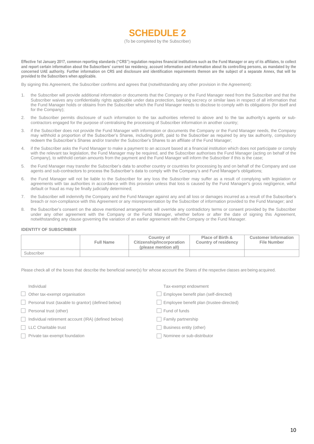## **SCHEDULE 2**

#### (To be completed by the Subscriber)

**Effective 1st January 2017, common reporting standards ("CRS") regulation requires financial institutions such as the Fund Manager or any of its affiliates, to collect and report certain information about the Subscribers' current tax residency, account information and information about its controlling persons, as mandated by the concerned UAE authority. Further information on CRS and disclosure and identification requirements thereon are the subject of a separate Annex, that will be provided to the Subscribers when applicable.**

By signing this Agreement, the Subscriber confirms and agrees that (notwithstanding any other provision in the Agreement):

- 1. the Subscriber will provide additional information or documents that the Company or the Fund Manager need from the Subscriber and that the Subscriber waives any confidentiality rights applicable under data protection, banking secrecy or similar laws in respect of all information that the Fund Manager holds or obtains from the Subscriber which the Fund Manager needs to disclose to comply with its obligations (for itself and for the Company);
- 2. the Subscriber permits disclosure of such information to the tax authorities referred to above and to the tax authority's agents or subcontractors engaged for the purpose of centralising the processing of Subscriber information in another country;
- 3. if the Subscriber does not provide the Fund Manager with information or documents the Company or the Fund Manager needs, the Company may withhold a proportion of the Subscriber's Shares, including profit, paid to the Subscriber as required by any tax authority, compulsory redeem the Subscriber's Shares and/or transfer the Subscriber's Shares to an affiliate of the Fund Manager;
- 4. if the Subscriber asks the Fund Manager to make a payment to an account based at a financial institution which does not participate or comply with the relevant tax legislation, the Fund Manager may be required, and the Subscriber authorises the Fund Manager (acting on behalf of the Company), to withhold certain amounts from the payment and the Fund Manager will inform the Subscriber if this is the case;
- 5. the Fund Manager may transfer the Subscriber's data to another country or countries for processing by and on behalf of the Company and use agents and sub-contractors to process the Subscriber's data to comply with the Company's and Fund Manager's obligations;
- 6. the Fund Manager will not be liable to the Subscriber for any loss the Subscriber may suffer as a result of complying with legislation or agreements with tax authorities in accordance with this provision unless that loss is caused by the Fund Manager's gross negligence, wilful default or fraud as may be finally judicially determined;
- 7. the Subscriber will indemnify the Company and the Fund Manager against any and all loss or damages incurred as a result of the Subscriber's breach or non-compliance with this Agreement or any misrepresentation by the Subscriber of information provided to the Fund Manager; and
- 8. the Subscriber's consent on the above mentioned arrangements will override any contradictory terms or consent provided by the Subscriber under any other agreement with the Company or the Fund Manager, whether before or after the date of signing this Agreement, notwithstanding any clause governing the variation of an earlier agreement with the Company or the Fund Manager.

#### **IDENTITY OF SUBSCRIBER**

|            | <b>Full Name</b> | Country of<br>Citizenship/Incorporation<br>(please mention all) | Place of Birth &<br><b>Country of residency</b> | <b>Customer Information</b><br>File Number |
|------------|------------------|-----------------------------------------------------------------|-------------------------------------------------|--------------------------------------------|
| Subscriber |                  |                                                                 |                                                 |                                            |

Please check all of the boxes that describe the beneficial owner(s) for whose account the Shares of the respective classes are being acquired.

| Individual |
|------------|
|------------|

Personal trust (taxable to grantor) (defined below) Employee benefit plan (trustee-directed) П.

□ Personal trust (other) Fund of funds

- □ Individual retirement account (IRA) (defined below) □ Family partnership
- 
- Private tax-exempt foundation Nominee or sub-distributor Nominee or sub-distributor

Tax-exempt endowment

 $\Box$  Other tax-exempt organisation Employee benefit plan (self-directed)

- 
- □ LLC Charitable trust Business entity (other)
	-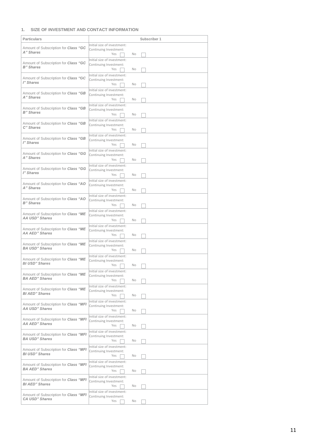## **1. SIZE OF INVESTMENT AND CONTACT INFORMATION**

| Particulars                                                    | Subscriber 1                                          |
|----------------------------------------------------------------|-------------------------------------------------------|
|                                                                | Initial size of investment:                           |
| Amount of Subscription for Class "GC<br>A" Shares              | Continuing Investment:                                |
|                                                                | Yes<br>No                                             |
| Amount of Subscription for Class "GC                           | Initial size of investment:                           |
| <b>B</b> " Shares                                              | Continuing Investment:<br>Yes<br><b>No</b>            |
|                                                                |                                                       |
| Amount of Subscription for Class "GC                           | Initial size of investment:<br>Continuing Investment: |
| I" Shares                                                      | Yes<br>No                                             |
|                                                                | Initial size of investment:                           |
| Amount of Subscription for Class "GB                           | Continuing Investment:                                |
| A" Shares                                                      | Yes<br>No                                             |
|                                                                | Initial size of investment:                           |
| Amount of Subscription for Class "GB<br>B" Shares              | Continuing Investment:                                |
|                                                                | Yes<br>No                                             |
| Amount of Subscription for Class "GB                           | Initial size of investment:                           |
| C" Shares                                                      | Continuing Investment:<br>Yes<br>No                   |
|                                                                | Initial size of investment:                           |
| Amount of Subscription for Class "GB                           | Continuing Investment:                                |
| l" Shares                                                      | Yes<br>No                                             |
|                                                                | Initial size of investment:                           |
| Amount of Subscription for Class "GG<br>A" Shares              | Continuing Investment:                                |
|                                                                | Yes<br>No                                             |
| Amount of Subscription for Class "GG                           | Initial size of investment:                           |
| l" Shares                                                      | Continuing Investment:                                |
|                                                                | Yes<br>No                                             |
| Amount of Subscription for Class "AO                           | Initial size of investment:<br>Continuing Investment: |
| A" Shares                                                      | Yes<br>No                                             |
|                                                                | Initial size of investment:                           |
| Amount of Subscription for Class "AO                           | Continuing Investment:                                |
| <b>B</b> " Shares                                              | Yes<br>No                                             |
|                                                                | Initial size of investment:                           |
| Amount of Subscription for Class "ME<br>AA USD" Shares         | Continuing Investment:                                |
|                                                                | Yes<br>No                                             |
| Amount of Subscription for Class "ME                           | Initial size of investment:                           |
| <b>AA AED" Shares</b>                                          | Continuing Investment:<br>Yes<br>No                   |
|                                                                | Initial size of investment:                           |
| Amount of Subscription for Class "ME                           | Continuing Investment:                                |
| <b>BA USD" Shares</b>                                          | Yes<br>No.                                            |
|                                                                | Initial size of investment:                           |
| Amount of Subscription for Class "ME<br><b>BI USD" Shares</b>  | Continuing Investment:                                |
|                                                                | No<br>Yes                                             |
| Amount of Subscription for Class "ME                           | Initial size of investment:                           |
| <b>BA AED" Shares</b>                                          | Continuing Investment:<br>Yes<br>No                   |
|                                                                | Initial size of investment:                           |
| Amount of Subscription for Class "ME                           | Continuing Investment:                                |
| <b>BI AED" Shares</b>                                          | Yes<br>No                                             |
|                                                                | Initial size of investment:                           |
| Amount of Subscription for Class "MFI<br><b>AA USD" Shares</b> | Continuing Investment:                                |
|                                                                | Yes<br>No                                             |
| Amount of Subscription for Class "MFI                          | Initial size of investment:                           |
| <b>AA AED" Shares</b>                                          | Continuing Investment:                                |
|                                                                | Yes<br>No                                             |
| Amount of Subscription for Class "MFI                          | Initial size of investment:<br>Continuing Investment: |
| <b>BA USD" Shares</b>                                          | Yes<br>No                                             |
|                                                                | Initial size of investment:                           |
| Amount of Subscription for Class "MFI                          | Continuing Investment:                                |
| <b>BI USD" Shares</b>                                          | Yes<br>No                                             |
|                                                                | Initial size of investment:                           |
| Amount of Subscription for Class "MFI<br><b>BA AED" Shares</b> | Continuing Investment:                                |
|                                                                | Yes<br>No                                             |
| Amount of Subscription for Class "MFI                          | Initial size of investment:                           |
| <b>BI AED" Shares</b>                                          | Continuing Investment:<br>Yes<br>No                   |
|                                                                | Initial size of investment:                           |
| Amount of Subscription for Class "MFI                          | Continuing Investment:                                |
| <b>CA USD" Shares</b>                                          | Yes<br>No                                             |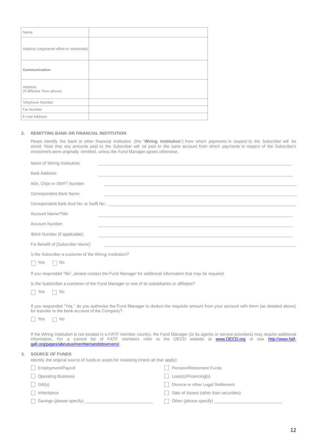| Name                                       |  |
|--------------------------------------------|--|
| Address (registered office or residential) |  |
| Communication                              |  |
| Address<br>(If different from above)       |  |
| Telephone Number                           |  |
| Fax Number                                 |  |
| E-mail Address                             |  |

#### **2. REMITTING BANK OR FINANCIAL INSTITUTION**

Please identify the bank or other financial institution (the "**Wiring Institution**") from which payments in respect to the Subscriber will be wired. Note that any amounts paid to the Subscriber will be paid to the same account from which payments in respect of the Subscriber's investment were originally remitted, unless the Fund Manager agrees otherwise.

|    | Name of Wiring Institution:                                                                                     |                                                                                                                                                                                                                                                                      |
|----|-----------------------------------------------------------------------------------------------------------------|----------------------------------------------------------------------------------------------------------------------------------------------------------------------------------------------------------------------------------------------------------------------|
|    | Bank Address:                                                                                                   |                                                                                                                                                                                                                                                                      |
|    | ABA, Chips or SWIFT Number:                                                                                     | ,我们也不会有什么。""我们的人,我们也不会有什么?""我们的人,我们也不会有什么?""我们的人,我们也不会有什么?""我们的人,我们也不会有什么?""我们的人                                                                                                                                                                                     |
|    | Correspondent Bank Name:                                                                                        | <u> 1989 - Johann Stoff, amerikansk politiker (* 1908)</u>                                                                                                                                                                                                           |
|    |                                                                                                                 |                                                                                                                                                                                                                                                                      |
|    | Account Name/Title:                                                                                             | ,我们也不能在这里,我们也不能会在这里,我们也不能会在这里,我们也不能会在这里,我们也不能会在这里,我们也不能会不能会。""我们,我们也不能会不能会不能会不能会                                                                                                                                                                                     |
|    | Account Number:                                                                                                 |                                                                                                                                                                                                                                                                      |
|    | IBAN Number (if applicable):                                                                                    | <u> 1989 - Johann Stoff, amerikansk politiker (* 1908)</u>                                                                                                                                                                                                           |
|    | For Benefit of [Subscriber Name]:                                                                               | and the control of the control of the control of the control of the control of the control of the control of the                                                                                                                                                     |
|    | Is the Subscriber a customer of the Wiring Institution?<br>$\Box$ No<br>Yes                                     |                                                                                                                                                                                                                                                                      |
|    | If you responded "No", please contact the Fund Manager for additional information that may be required.         |                                                                                                                                                                                                                                                                      |
|    | Is the Subscriber a customer of the Fund Manager or one of its subsidiaries or affiliates?<br>$\Box$ No<br>Yes  |                                                                                                                                                                                                                                                                      |
|    | for transfer to the bank account of the Company?<br>$\Box$ No<br>Yes                                            | If you responded "Yes," do you authorise the Fund Manager to deduct the requisite amount from your account with them (as detailed above)                                                                                                                             |
|    | gafi.org/pages/aboutus/membersandobservers/.                                                                    | If the Wiring Institution is not located in a FATF member country, the Fund Manager (or its agents or service providers) may require additional<br>information. For a current list of FATF members refer to the OECD website at www.OECD.org or see http://www.fatf- |
| 3. | <b>SOURCE OF FUNDS</b><br>Identify the original source of funds or assets for investing (check all that apply): |                                                                                                                                                                                                                                                                      |
|    | Employment/Payroll                                                                                              | <b>Pension/Retirement Funds</b>                                                                                                                                                                                                                                      |
|    | <b>Operating Business</b>                                                                                       | Loan(s)/Financing(s)                                                                                                                                                                                                                                                 |
|    | Gift(s)                                                                                                         | Divorce or other Legal Settlement                                                                                                                                                                                                                                    |
|    | Inheritance                                                                                                     | Sale of Assets (other than securities)                                                                                                                                                                                                                               |
|    | Savings (please specify)                                                                                        | Other (please specify)                                                                                                                                                                                                                                               |